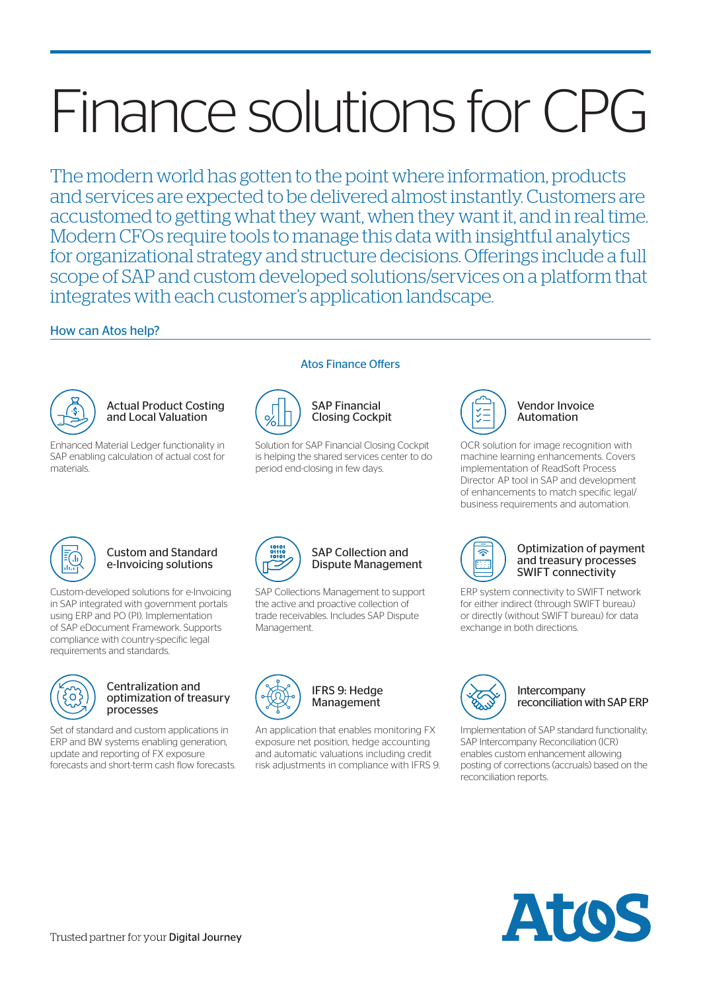# Finance solutions for CPG

The modern world has gotten to the point where information, products and services are expected to be delivered almost instantly. Customers are accustomed to getting what they want, when they want it, and in real time. Modern CFOs require tools to manage this data with insightful analytics for organizational strategy and structure decisions. Offerings include a full scope of SAP and custom developed solutions/services on a platform that integrates with each customer's application landscape.

### How can Atos help?



#### Actual Product Costing and Local Valuation

Enhanced Material Ledger functionality in SAP enabling calculation of actual cost for materials.



# Solution for SAP Financial Closing Cockpit is helping the shared services center to do

period end-closing in few days.

SAP Financial Closing Cockpit

Atos Finance Offers



Vendor Invoice Automation

OCR solution for image recognition with machine learning enhancements. Covers implementation of ReadSoft Process Director AP tool in SAP and development of enhancements to match specific legal/ business requirements and automation.



#### Custom and Standard e-Invoicing solutions

Custom-developed solutions for e-Invoicing in SAP integrated with government portals using ERP and PO (PI). Implementation of SAP eDocument Framework. Supports compliance with country-specific legal requirements and standards.



#### Centralization and optimization of treasury processes

Set of standard and custom applications in ERP and BW systems enabling generation, update and reporting of FX exposure forecasts and short-term cash flow forecasts.



#### SAP Collection and Dispute Management

SAP Collections Management to support the active and proactive collection of trade receivables. Includes SAP Dispute Management.



IFRS 9: Hedge Management

An application that enables monitoring FX exposure net position, hedge accounting and automatic valuations including credit risk adjustments in compliance with IFRS 9.



#### Optimization of payment and treasury processes SWIFT connectivity

ERP system connectivity to SWIFT network for either indirect (through SWIFT bureau) or directly (without SWIFT bureau) for data exchange in both directions.



#### Intercompany reconciliation with SAP ERP

Implementation of SAP standard functionality; SAP Intercompany Reconciliation (ICR) enables custom enhancement allowing posting of corrections (accruals) based on the reconciliation reports.